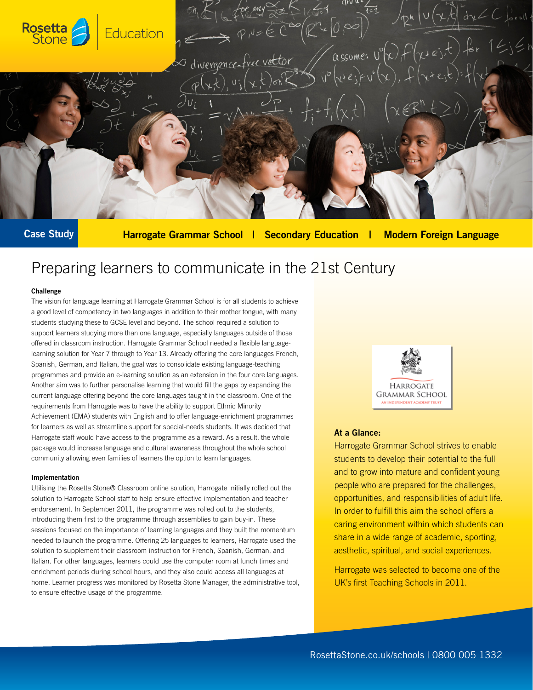

Case Study

Harrogate Grammar School | Secondary Education | Modern Foreign Language

# Preparing learners to communicate in the 21st Century

# Challenge

The vision for language learning at Harrogate Grammar School is for all students to achieve a good level of competency in two languages in addition to their mother tongue, with many students studying these to GCSE level and beyond. The school required a solution to support learners studying more than one language, especially languages outside of those offered in classroom instruction. Harrogate Grammar School needed a flexible languagelearning solution for Year 7 through to Year 13. Already offering the core languages French, Spanish, German, and Italian, the goal was to consolidate existing language-teaching programmes and provide an e-learning solution as an extension in the four core languages. Another aim was to further personalise learning that would fill the gaps by expanding the current language offering beyond the core languages taught in the classroom. One of the requirements from Harrogate was to have the ability to support Ethnic Minority Achievement (EMA) students with English and to offer language-enrichment programmes for learners as well as streamline support for special-needs students. It was decided that Harrogate staff would have access to the programme as a reward. As a result, the whole package would increase language and cultural awareness throughout the whole school community allowing even families of learners the option to learn languages.

## Implementation

Utilising the Rosetta Stone® Classroom online solution, Harrogate initially rolled out the solution to Harrogate School staff to help ensure effective implementation and teacher endorsement. In September 2011, the programme was rolled out to the students, introducing them first to the programme through assemblies to gain buy-in. These sessions focused on the importance of learning languages and they built the momentum needed to launch the programme. Offering 25 languages to learners, Harrogate used the solution to supplement their classroom instruction for French, Spanish, German, and Italian. For other languages, learners could use the computer room at lunch times and enrichment periods during school hours, and they also could access all languages at home. Learner progress was monitored by Rosetta Stone Manager, the administrative tool, to ensure effective usage of the programme.



# At a Glance:

Harrogate Grammar School strives to enable students to develop their potential to the full and to grow into mature and confident young people who are prepared for the challenges, opportunities, and responsibilities of adult life. In order to fulfill this aim the school offers a caring environment within which students can share in a wide range of academic, sporting, aesthetic, spiritual, and social experiences.

Harrogate was selected to become one of the UK's first Teaching Schools in 2011.